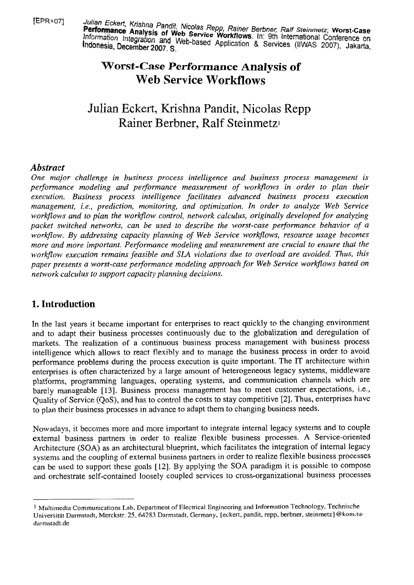[EPR+o71 Julian **Eckeft,** Krishna Pandit, *Nicolas* Repp, Rher *Berbne~ Ralf* **Steinmetz; Worst-Case Analysis of Web** *Service Merkflows Inc. 9th Palf Steinmetz*, Worst-Case Information Integration and Web-based Applications. In: 9th International Conference on Information Integration and Web-based Application & Services (IIWAS 2007), Jakarta,

# **Worst-Case Performance Analysis of Web Service Workfiows**

# Julian Eckert, Krishna Pandit, Nicolas Repp Rainer Berbner, Ralf Steinmetz

## *Abstract*

*One major challenge in business process intelligence and business process rnanagement is*  performance modeling and performance measurement of workflows in order to plan their *execution. Business process intelligence facilitates advanced business process execution management, i.e., prediction, rnonitoring, and optimization. In order to analyze Web Service workflows and to plan the workjlow control, network calculus, originally developed for analyzing packet switched networks, can be used to describe the worst-case performance behavior of a workflow. By addressing capacity planning of Web Service workflows, resource usage becomes more and more important. Performance modeling and measurement are crucial to ensure that the workflow execution rernains feasible und SLA violations due to overload are avoided. Thus, this*  paper presents a worst-case performance modeling approach for Web Service workflows based on *network calculus to support capacity planning decisions.* 

## **1. Introduction**

In the last years it became important for enterprises to react quickly to the changing environment and to adapt their business processes continuously due to the globalization and deregulation of markets. The realization of a continuous business process management with business process intelligence which allows to react flexibly and to manage the business process in order to avoid performance problems during the process execution is quite important. The IT architecture within enterprises is often characterized by a large amount of heterogeneous legacy systems, middleware platforrns, programming languages, operating systems, and communication channels which are barely manageable [13]. Business process management has to meet customer expectations, i.e., Quality of Service (QoS), and has to control the costs to stay competitive [2]. Thus, enterprises have to plan their business processes in advance to adapt them to changing business needs.

Nowadays, it becomes more and more important to integrate internal legacy systems and to couple extemal business partners in order to realize flexible business processes. A Service-oriented Architecture (SOA) as an architectural blueprint, which facilitates the integration of intemal legacy systems and the coupling of external business partners in order to realize flexible business processes can be used to support these goals **[12].** By applying the SOA paradigm it is possible to compose and orchestrate self-contained loosely coupled services to cross-organizational business processes

<sup>&</sup>lt;sup>1</sup> Multimedia Communications Lab, Department of Electrical Engineering and Information Technology, Technische Universität Darmstadt, Merckstr. 25, 64283 Darmstadt, Germany, {eckert, pandit, repp, berbner, steinmetz}@kom.tudarrnstadt.de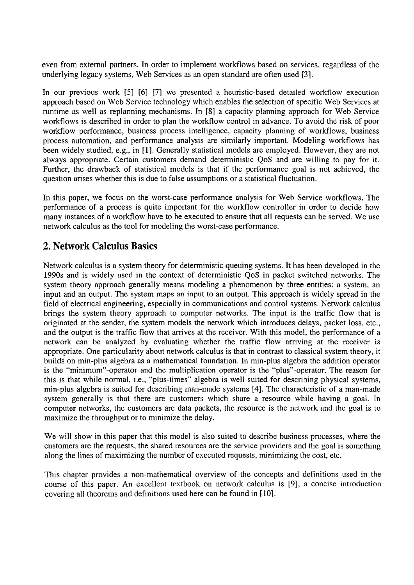even from external partners. In order to implement workflows based on services, regardless of the underlying legacy systems, Web Services as an Open standard are often used **[3].** 

In our previous work **[SI** [6] **[7]** we presented a heuristic-based detailed workflow execution approach based on Web Service technology which enables the selection of specific Web Services at runtime as well as replanning mechanisms. In **[8]** a capacity planning approach for Web Service workflows is described in order to plan the workflow control in advance. To avoid the risk of poor workflow performance, business process intelligence, capacity planning of workfiows, business process automation, and performance analysis are similarly important. Modeling workflows has been widely studied, e.g., in **[I].** Generally statistical models are employed. However, they are not always appropriate. Certain customers demand deterrninistic QoS and are willing to pay for it. Further, the drawback of statistical models is that if the performance goal is not achieved, the question arises whether this is due to false assumptions or a statistical fluctuation.

In this paper, we focus on the worst-case performance analysis for Web Service workflows. The performance of a process is quite important for the workflow controller in order to decide how many instances of a workflow have to be executed to ensure that all requests can be served. We use network calculus as the tool for modeling the worst-case performance.

## **2. Network Calculus Basics**

Network calculus is a system theory for deterministic queuing systems. It has been developed in the 1990s and is widely used in the context of deterministic QoS in packet switched networks. The system theory approach generally means modeling a phenomenon by three entities: a system, an input and an output. The system maps an input to an output. This approach is widely spread in the field of electrical engineering, especially in communications and control systems. Network calculus brings the system theory approach to computer networks. The input is the traffic flow that is originated at the sender, the system models the network which introduces delays, packet loss, etc., and the output is the traffic flow that arrives at the receiver. With this model, the performance of a network can be analyzed by evaluating whether the traffic flow arriving at the receiver is appropriate. One particularity about network calculus is that in contrast to classical system theory, it builds on min-plus algebra as a mathematical foundation. In min-plus algebra the addition operator is the "minimum"-operator and the multiplication operator is the "plus"-operator. The reason for this is that while normal, i.e., "plus-times" algebra is well suited for describing physical systems, min-plus algebra is suited for describing man-made systems **[4].** The characteristic of a man-made system generally is that there are customers which share a resource while having a goal. In computer networks, the customers are data packets, the resource is the network and the goal is to maximize the throughput or to minimize the delay.

We will show in this paper that this model is also suited to describe business processes, where the customers are the requests, the shared resources are the service providers and the goal is something along the lines of maximizing the number of executed requests, minimizing the cost, etc.

This chapter provides a non-mathematical overview of the concepts and definitions used in the Course of this paper. An excellent textbook on network calculus is **[9],** a concise introduction covering all theorems and definitions used here can be found in [10].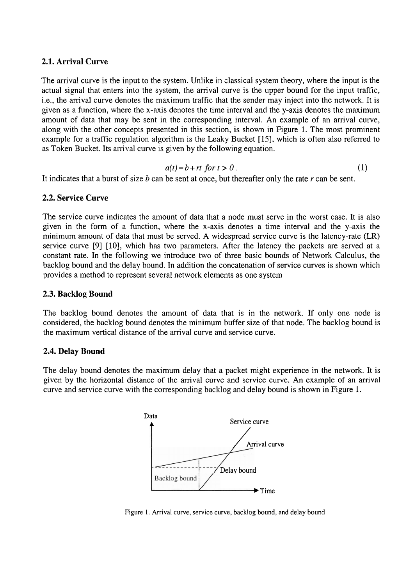#### **2.1. Arrival Curve**

The arrival curve is the input to the system. Unlike in classical system theory, where the input is the actual signal that enters into the system, the arrival curve is the upper bound for the input traffic, i.e., the arrival curve denotes the maximum traffic that the sender may inject into the network. It is given as a function, where the X-axis denotes the time interval and the y-axis denotes the maximum amount of data that may be sent in the corresponding interval. An example of an arrival curve, along with the other concepts presented in this section, is shown in Figure 1. The most prominent example for a traffic regulation algorithm is the Leaky Bucket [15], which is often also referred to as Token Bucket. Its arrival curve is given by the following equation.

$$
a(t) = b + rt \text{ for } t > 0. \tag{1}
$$

It indicates that a burst of size b can be sent at once, but thereafter only the rate *r* can be sent.

#### **2.2. Service Curve**

The service curve indicates the amount of data that a node must serve in the worst case. It is also given in the form of a function, where the X-axis denotes a time interval and the y-axis the minimum amount of data that must be served. A widespread service curve is the latency-rate (LR) service curve [9] [10], which has two parameters. After the latency the packets are served at a constant rate. In the following we introduce two of three basic bounds of Network Calculus, the backlog bound and the delay bound. In addition the concatenation of service curves is shown which provides a method to represent several network elements as one system

#### **2.3. Backlog Bound**

The backlog bound denotes the amount of data that is in the network. If only one node is considered, the backlog bound denotes the minimum buffer size of that node. The backlog bound is the maximum vertical distance of the arrival curve and service curve.

#### **2.4. Delay Bound**

The delay bound denotes the maximum delay that a packet might experience in the network. It is given by the horizontal distance of the arrival curve and service curve. An example of an arrival curve and service curve with the corresponding backlog and delay bound is shown in Figure 1.



Figure 1. Arrival curve, service curve, backlog bound, and delay bound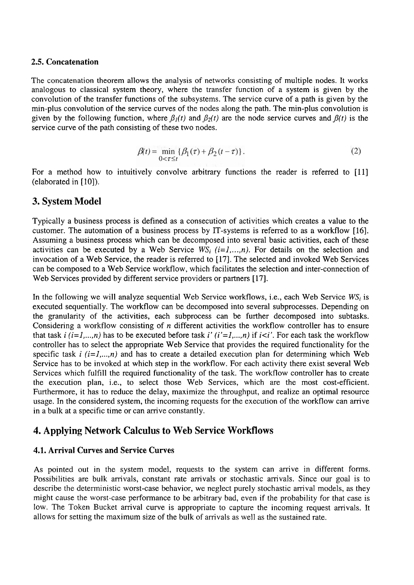#### **2.5. Concatenation**

The concatenation theorem allows the analysis of networks consisting of multiple nodes. It works analogous to classical system theory, where the transfer function of a system is given by the convolution of the transfer functions of the subsystems. The service curve of a path is given by the min-plus convolution of the service curves of the nodes along the path. The min-plus convolution is given by the following function, where  $\beta_l(t)$  and  $\beta_2(t)$  are the node service curves and  $\beta(t)$  is the service curve of the path consisting of these two nodes.

$$
\beta(t) = \min_{0 < \tau \leq t} \{ \beta_1(\tau) + \beta_2(t - \tau) \}. \tag{2}
$$

For a method how to intuitively convolve arbitrary functions the reader is referred to [11] (elaborated in [10]).

### **3. System Model**

Typically a business process is defined as a consecution of activities which creates a value to the customer. The automation of a business process by IT-systems is referred to as a workflow **[16].**  Assuming a business process which can be decomposed into several basic activities, each of these activities can be executed by a Web Service  $WS_i$  ( $i=1,...,n$ ). For details on the selection and invocation of a Web Service, the reader is referred to [17]. The selected and invoked Web Services can be composed to a Web Service workflow, which facilitates the selection and inter-connection of Web Services provided by different service providers or partners [17].

In the following we will analyze sequential Web Service workflows, i.e., each Web Service *WSi* is executed sequentially. The workflow can be decomposed into several subprocesses. Depending on the granularity of the activities, each subprocess can be further decomposed into subtasks. Considering a workflow consisting of *n* different activities the workflow controller has to ensure that task  $i (i=1,...,n)$  has to be executed before task  $i' (i'=1,...,n)$  if  $i < i'$ . For each task the workflow controller has to select the appropriate Web Service that provides the required functionality for the specific task  $i$  ( $i=1,...,n$ ) and has to create a detailed execution plan for determining which Web Service has to be invoked at which step in the workflow. For each activity there exist several Web Services which fulfill the required functionality of the task. The workflow controller has to create the execution plan, i.e., to select those Web Services, which are the most cost-efficient. Furthermore, it has to reduce the delay, maximize the throughput, and realize an optimal resource usage. In the considered system, the incoming requests for the execution of the workflow can arrive in a bulk at a specific time or can arrive constantly.

#### **4. Applying Network Calculus to Web Service Workflows**

#### **4.1. Arrival Curves and Service Curves**

As pointed out in the system model, requests to the system can arrive in different forms. Possibilities are bulk arrivals, constant rate arrivals or stochastic arrivals. Since our goal is to describe the deterministic worst-case behavior, we neglect purely stochastic arrival models, as they might cause the worst-case performance to be arbitrary bad, even if the probability for that case is low. The Token Bucket arrival curve is appropriate to capture the incoming request arrivals. It allows for setting the maximum size of the bulk of arrivals as well as the sustained rate.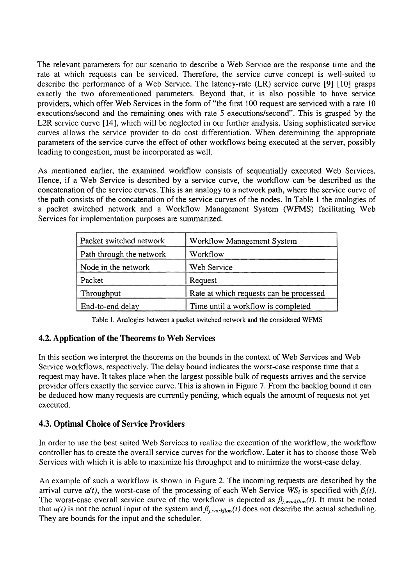The relevant parameters for our scenario to describe a Web Service are the response time and the rate at which requests can be serviced. Therefore, the service curve concept is well-suited to describe the performance of a Web Service. The latency-rate (LR) service curve [9] [10] grasps exactly the two aforementioned parameters. Beyond that, it is also possible to have service providers, which offer Web Services in the form of "the first 100 request are serviced with a rate 10 executions/second and the remaining ones with rate 5 executions/second". This is grasped by the L2R service curve [14], which will be neglected in our further analysis. Using sophisticated service curves allows the service provider to do cost differentiation. When determining the appropriate parameters of the service curve the effect of other workflows being executed at the server, possibly leading to congestion, must be incorporated as well.

As mentioned earlier, the examined workflow consists of sequentially executed Web Services. Hence, if a Web Service is described by a service curve, the workflow can be described as the concatenation of the service curves. This is an analogy to a network path, where the service curve of the path consists of the concatenation of the service curves of the nodes. In Table 1 the analogies of a packet switched network and a Workflow Management System (WFMS) facilitating Web Services for implementation purposes are summarized.

| Packet switched network  | <b>Workflow Management System</b>       |
|--------------------------|-----------------------------------------|
| Path through the network | Workflow                                |
| Node in the network      | Web Service                             |
| Packet                   | Request                                 |
| Throughput               | Rate at which requests can be processed |
| End-to-end delay         | Time until a workflow is completed      |

Table 1. Analogies between a packet switched network and the considered WFMS

#### **4.2. Application of the Theorems to Web Services**

In this section we interpret the theorems on the bounds in the context of Web Services and Web Service workflows, respectively. The delay bound indicates the worst-case response time that a request may have. It takes place when the largest possible bulk of requests arrives and the service provider offers exactly the service curve. This is shown in Figure 7. From the backlog bound it can be deduced how many requests are currently pending, which equals the amount of requests not yet executed.

## **4.3. Optimal Choice of Service Providers**

In order to use the best suited Web Services to realize the execution of the workflow, the workflow controller has to create the overall service curves for the workflow. Later it has to choose those Web Services with which it is able to maximize his throughput and to minimize the worst-case delay.

An example of such a workflow is shown in Figure 2. The incoming requests are described by the arrival curve  $a(t)$ , the worst-case of the processing of each Web Service *WS<sub>i</sub>* is specified with  $\beta_i(t)$ . The worst-case overall service curve of the workflow is depicted as  $\beta_{j,workflow}(t)$ . It must be noted that  $a(t)$  is not the actual input of the system and  $\beta_{j,workflow}(t)$  does not describe the actual scheduling. They are bounds for the input and the scheduler.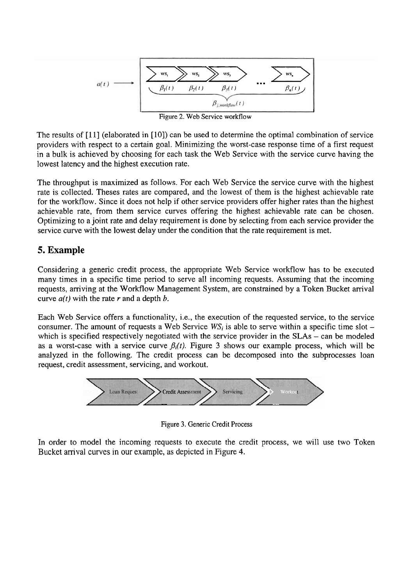

Figure 2. Web Service workflow

The results of [11] (elaborated in [10]) can be used to determine the optimal combination of service providers with respect to a certain goal. Minimizing the worst-case response time of a first request in a bulk is achieved by choosing for each task the Web Service with the service curve having the lowest latency and the highest execution rate.

The throughput is maximized as follows. For each Web Service the service curve with the highest rate is collected. Theses rates are compared, and the lowest of them is the highest achievable rate for the workfiow. Since it does not help if other service providers offer higher rates than the highest achievable rate, from them service curves offering the highest achievable rate can be chosen. Optimizing to a joint rate and delay requirement is done by selecting from each service provider the service curve with the lowest delay under the condition that the rate requirement is met.

## **5. Example**

Considering a generic credit process, the appropriate Web Service workflow has to be executed many times in a specific time period to serve all incoming requests. Assuming that the incoming requests, arriving at the Workfiow Management System, are constrained by a Token Bucket arrival curve *a(t)* with the rate *r* and a depth b.

Each Web Service offers a functionality, i.e., the execution of the requested service, to the service consumer. The amount of requests a Web Service *WS<sub>i</sub>* is able to serve within a specific time slot – which is specified respectively negotiated with the service provider in the  $SLAs - can$  be modeled as a worst-case with a service curve  $\beta_i(t)$ . Figure 3 shows our example process, which will be analyzed in the following. The credit process can be decomposed into the subprocesses loan request, credit assessment, servicing, and workout.



Figure **3.** Generic Credit Process

In order to model the incoming requests to execute the credit process, we will use two Token Bucket arrival curves in our example, as depicted in Figure 4.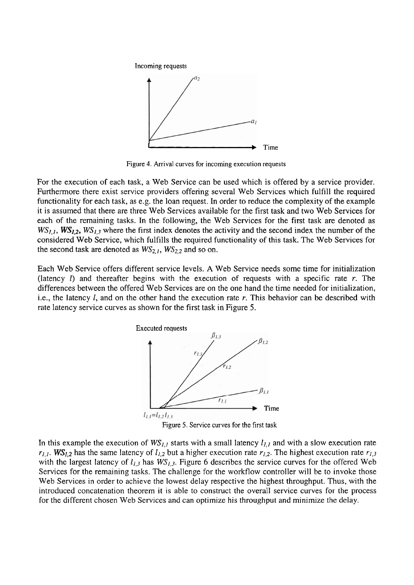Incoming requests



Figure 4. Arrival curves for incoming execution requests

For the execution of each task, a Web Service can be used which is offered by a service provider. Furthermore there exist service providers offering several Web Services which fulfill the required functionality for each task, as e.g. the loan request. In order to reduce the complexity of the example it is assumed that there are three Web Services available for the first task and two Web Services for each of the remaining tasks. In the following, the Web Services for the first task are denoted as  $WS_{1,1}$ ,  $WS_{1,2}$ ,  $WS_{1,3}$  where the first index denotes the activity and the second index the number of the considered Web Service, which fulfills the required functionality of this task. The Web Services for the second task are denoted as  $WS_{2,1}$ ,  $WS_{2,2}$  and so on.

Each Web Service offers different service levels. **A** Web Service needs some time for initialization (latency I) and thereafter begins with the execution of requests with a specific rate r. The differences between the offered Web Services are on the one hand the time needed for initialization, i.e., the latency  $l$ , and on the other hand the execution rate r. This behavior can be described with rate latency service curves as shown for the first task in Figure 5.



In this example the execution of  $WS_{1,l}$  starts with a small latency  $l_{1,l}$  and with a slow execution rate  $r_{1,1}$ . WS<sub>1,2</sub> has the same latency of  $l_{1,2}$  but a higher execution rate  $r_{1,2}$ . The highest execution rate  $r_{1,3}$ with the largest latency of  $l_{1,3}$  has  $WS_{1,3}$ . Figure 6 describes the service curves for the offered Web Services for the remaining tasks. The challenge for the workflow controller will be to invoke those Web Services in order to achieve the lowest delay respective the highest throughput. Thus, with the introduced concatenation theorem it is able to construct the overall service curves for the process for the different chosen Web Services and can optimize his throughput and minimize the delay.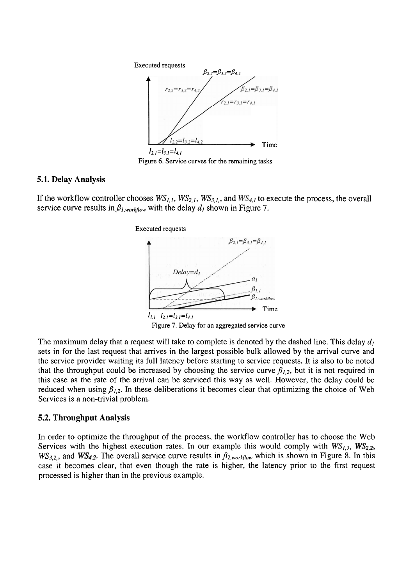

Figure 6. Service curves for the remaining tasks

#### **5.1. Delay Analysis**

If the workflow controller chooses  $WS_{1,1}$ ,  $WS_{2,1}$ ,  $WS_{3,1}$ , and  $WS_{4,1}$  to execute the process, the overall service curve results in  $\beta_{l,workflow}$  with the delay  $d_l$  shown in Figure 7.



The maximum delay that a request will take to complete is denoted by the dashed line. This delay  $d<sub>l</sub>$ sets in for the last request that arrives in the largest possible bulk allowed by the arrival curve and the service provider waiting its full latency before starting to service requests. It is also to be noted that the throughput could be increased by choosing the service curve  $\beta_{1,2}$ , but it is not required in this case as the rate of the arrival can be serviced this way as well. However, the delay could be reduced when using  $\beta_{1,2}$ . In these deliberations it becomes clear that optimizing the choice of Web Services is a non-trivial problem.

#### **5.2. Throughput Analysis**

In order to optimize the throughput of the process, the workflow controller has to choose the Web Services with the highest execution rates. In our example this would comply with  $WS_{1,3}$ ,  $WS_{2,2}$ ,  $WS_{3,2}$ , and  $WS_{4,2}$ . The overall service curve results in  $\beta_{2,workflow}$  which is shown in Figure 8. In this case it becomes clear, that even though the rate is higher, the latency prior to the first request processed is higher than in the previous example.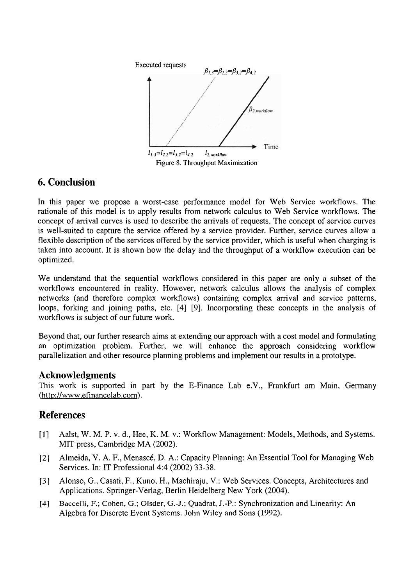

## **6. Conclusion**

In this paper we propose a worst-case performance model for Web Service workflows. The rationale of this model is to apply results from network calculus to Web Service workflows. The concept of arrival curves is used to describe the amvals of requests. The concept of service curves is well-suited to capture the service offered by a service provider. Further, service curves allow a flexible description of the services offered by the service provider, which is useful when charging is taken into account. It is shown how the delay and the throughput of a workflow execution can be optimized.

We understand that the sequential workflows considered in this paper are only a subset of the workflows encountered in reality. However, network calculus allows the analysis of complex networks (and therefore complex workflows) containing complex arrival and service patterns, loops, forking and joining paths, etc. [4] [9]. Incorporating these concepts in the analysis of workflows is subject of our future work.

Beyond that, our further research aims at extending our approach with a cost model and formulating an optimization problem. Further, we will enhance the approach considering workflow parallelization and other resource planning problems and implement our results in a prototype.

#### **Acknowledgments**

This work is supported in part by the E-Finance Lab e.V., Frankfurt am Main, Germany (http://www.efinancelab.com).

## **References**

- [1] Aalst, W. M. P. v. d., Hee, K. M. v.: Workflow Management: Models, Methods, and Systems. MIT press, Cambridge MA (2002).
- [2] Almeida, V. A. F., Menascé, D. A.: Capacity Planning: An Essential Tool for Managing Web Services. In: IT Professional 4:4 (2002) 33-38.
- [3] Alonso, G., Casati, F., Kuno, H., Machiraju, V.: Web Services. Concepts, Architectures and Applications. Springer-Verlag, Berlin Heidelberg New York (2004).
- **[4]** Baccelli, F.; Cohen, G.; Olsder, G.-J.; Quadrat, J.-P.: Synchronization and Lineanty: An Algebra for Discrete Event Systems. John Wiley and Sons (1992).